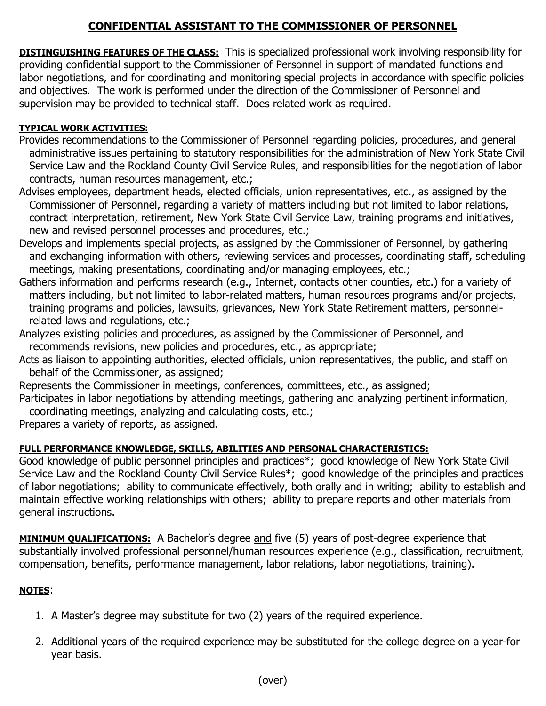## **CONFIDENTIAL ASSISTANT TO THE COMMISSIONER OF PERSONNEL**

**DISTINGUISHING FEATURES OF THE CLASS:** This is specialized professional work involving responsibility for providing confidential support to the Commissioner of Personnel in support of mandated functions and labor negotiations, and for coordinating and monitoring special projects in accordance with specific policies and objectives. The work is performed under the direction of the Commissioner of Personnel and supervision may be provided to technical staff. Does related work as required.

## **TYPICAL WORK ACTIVITIES:**

- Provides recommendations to the Commissioner of Personnel regarding policies, procedures, and general administrative issues pertaining to statutory responsibilities for the administration of New York State Civil Service Law and the Rockland County Civil Service Rules, and responsibilities for the negotiation of labor contracts, human resources management, etc.;
- Advises employees, department heads, elected officials, union representatives, etc., as assigned by the Commissioner of Personnel, regarding a variety of matters including but not limited to labor relations, contract interpretation, retirement, New York State Civil Service Law, training programs and initiatives, new and revised personnel processes and procedures, etc.;
- Develops and implements special projects, as assigned by the Commissioner of Personnel, by gathering and exchanging information with others, reviewing services and processes, coordinating staff, scheduling meetings, making presentations, coordinating and/or managing employees, etc.;
- Gathers information and performs research (e.g., Internet, contacts other counties, etc.) for a variety of matters including, but not limited to labor-related matters, human resources programs and/or projects, training programs and policies, lawsuits, grievances, New York State Retirement matters, personnel related laws and regulations, etc.;
- Analyzes existing policies and procedures, as assigned by the Commissioner of Personnel, and recommends revisions, new policies and procedures, etc., as appropriate;
- Acts as liaison to appointing authorities, elected officials, union representatives, the public, and staff on behalf of the Commissioner, as assigned;
- Represents the Commissioner in meetings, conferences, committees, etc., as assigned;
- Participates in labor negotiations by attending meetings, gathering and analyzing pertinent information, coordinating meetings, analyzing and calculating costs, etc.;

Prepares a variety of reports, as assigned.

## **FULL PERFORMANCE KNOWLEDGE, SKILLS, ABILITIES AND PERSONAL CHARACTERISTICS:**

Good knowledge of public personnel principles and practices\*; good knowledge of New York State Civil Service Law and the Rockland County Civil Service Rules\*; good knowledge of the principles and practices of labor negotiations; ability to communicate effectively, both orally and in writing; ability to establish and maintain effective working relationships with others; ability to prepare reports and other materials from general instructions.

**MINIMUM QUALIFICATIONS:** A Bachelor's degree and five (5) years of post-degree experience that substantially involved professional personnel/human resources experience (e.g., classification, recruitment, compensation, benefits, performance management, labor relations, labor negotiations, training).

## **NOTES**:

- 1. A Master's degree may substitute for two (2) years of the required experience.
- 2. Additional years of the required experience may be substituted for the college degree on a year-for year basis.